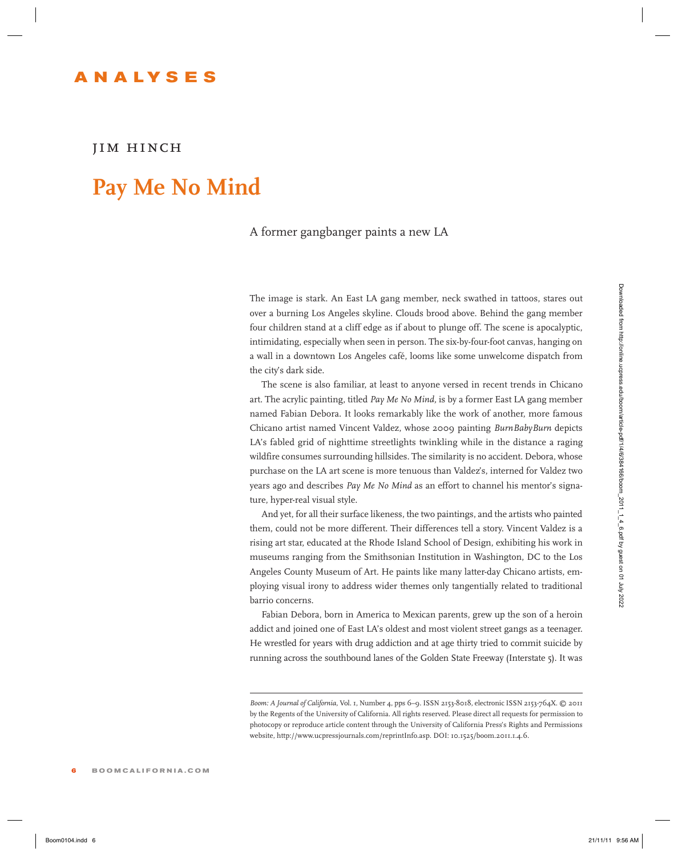## **ANAL Y S E S**

## *jim hinch*

## **Pay Me No Mind**

## A former gangbanger paints a new LA

The image is stark. An East LA gang member, neck swathed in tattoos, stares out over a burning Los Angeles skyline. Clouds brood above. Behind the gang member four children stand at a cliff edge as if about to plunge off. The scene is apocalyptic, intimidating, especially when seen in person. The six-by-four-foot canvas, hanging on a wall in a downtown Los Angeles café, looms like some unwelcome dispatch from the city's dark side.

The scene is also familiar, at least to anyone versed in recent trends in Chicano art. The acrylic painting, titled *Pay Me No Mind,* is by a former East LA gang member named Fabian Debora. It looks remarkably like the work of another, more famous Chicano artist named Vincent Valdez, whose 2009 painting *BurnBabyBurn* depicts LA's fabled grid of nighttime streetlights twinkling while in the distance a raging wildfire consumes surrounding hillsides. The similarity is no accident. Debora, whose purchase on the LA art scene is more tenuous than Valdez's, interned for Valdez two years ago and describes *Pay Me No Mind* as an effort to channel his mentor's signature, hyper-real visual style. The integris is such As Food Using to modes the simulation in the simulation of the simulation of the simulation of the simulation of the simulation of the simulation of the simulation of the simulation of the simulation

And yet, for all their surface likeness, the two paintings, and the artists who painted them, could not be more different. Their differences tell a story. Vincent Valdez is a rising art star, educated at the Rhode Island School of Design, exhibiting his work in museums ranging from the Smithsonian Institution in Washington, DC to the Los Angeles County Museum of Art. He paints like many latter-day Chicano artists, employing visual irony to address wider themes only tangentially related to traditional barrio concerns.

Fabian Debora, born in America to Mexican parents, grew up the son of a heroin addict and joined one of East LA's oldest and most violent street gangs as a teenager. He wrestled for years with drug addiction and at age thirty tried to commit suicide by running across the southbound lanes of the Golden State Freeway (Interstate 5). It was

*Boom: A Journal of California,* Vol. 1, Number 4, pps 6–9. ISSN 2153-8018, electronic ISSN 2153-764X. © 2011 by the Regents of the University of California. All rights reserved. Please direct all requests for permission to photocopy or reproduce article content through the University of California Press's Rights and Permissions website, http://www.ucpressjournals.com/reprintInfo.asp. DOI: 10.1525/boom.2011.1.4.6.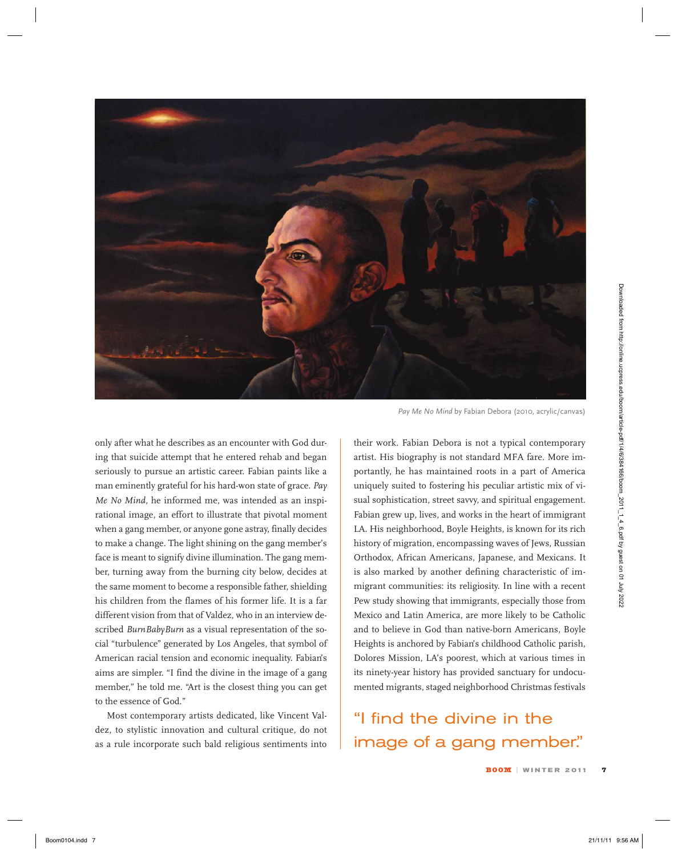

only after what he describes as an encounter with God during that suicide attempt that he entered rehab and began seriously to pursue an artistic career. Fabian paints like a man eminently grateful for his hard-won state of grace. *Pay Me No Mind,* he informed me, was intended as an inspirational image, an effort to illustrate that pivotal moment when a gang member, or anyone gone astray, finally decides to make a change. The light shining on the gang member's face is meant to signify divine illumination. The gang member, turning away from the burning city below, decides at the same moment to become a responsible father, shielding his children from the flames of his former life. It is a far different vision from that of Valdez, who in an interview described *BurnBabyBurn* as a visual representation of the social "turbulence" generated by Los Angeles, that symbol of American racial tension and economic inequality. Fabian's aims are simpler. "I find the divine in the image of a gang member," he told me. "Art is the closest thing you can get to the essence of God." Book what he decoded from https://online.ucpress.edu/book interactions and the point of the second the control of the second from https://online.uccupress.edu/book interactions are expected from https://online.uccupress.e

Most contemporary artists dedicated, like Vincent Valdez, to stylistic innovation and cultural critique, do not as a rule incorporate such bald religious sentiments into

*Pay Me No Mind* by Fabian Debora (2010, acrylic/canvas)

their work. Fabian Debora is not a typical contemporary artist. His biography is not standard MFA fare. More importantly, he has maintained roots in a part of America uniquely suited to fostering his peculiar artistic mix of visual sophistication, street savvy, and spiritual engagement. Fabian grew up, lives, and works in the heart of immigrant LA. His neighborhood, Boyle Heights, is known for its rich history of migration, encompassing waves of Jews, Russian Orthodox, African Americans, Japanese, and Mexicans. It is also marked by another defining characteristic of immigrant communities: its religiosity. In line with a recent Pew study showing that immigrants, especially those from Mexico and Latin America, are more likely to be Catholic and to believe in God than native-born Americans, Boyle Heights is anchored by Fabian's childhood Catholic parish, Dolores Mission, LA's poorest, which at various times in its ninety-year history has provided sanctuary for undocumented migrants, staged neighborhood Christmas festivals

"I find the divine in the image of a gang member."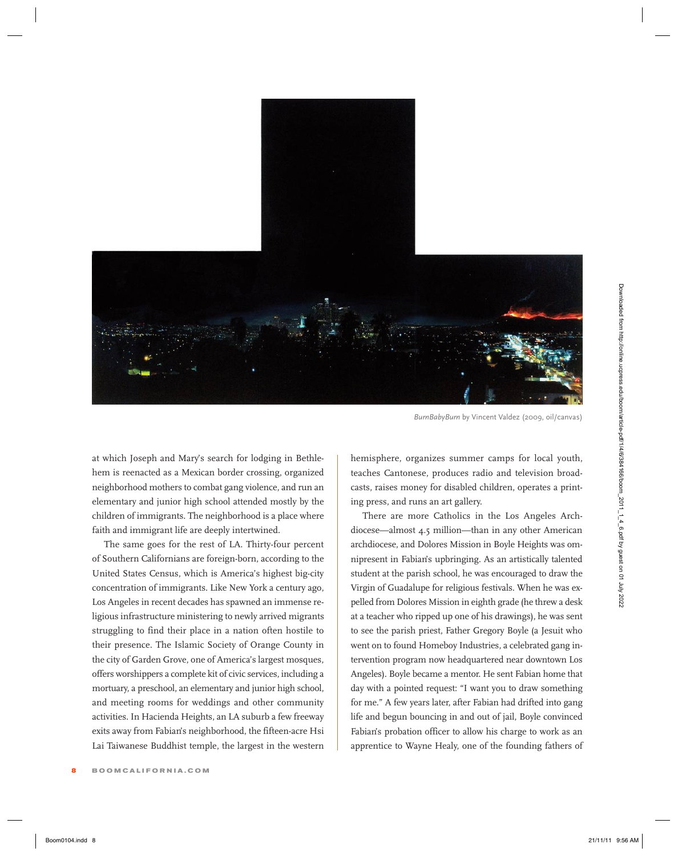

*BurnBabyBurn* by Vincent Valdez (2009, oil/canvas)

at which Joseph and Mary's search for lodging in Bethlehem is reenacted as a Mexican border crossing, organized neighborhood mothers to combat gang violence, and run an elementary and junior high school attended mostly by the children of immigrants. The neighborhood is a place where faith and immigrant life are deeply intertwined.

The same goes for the rest of LA. Thirty-four percent of Southern Californians are foreign-born, according to the United States Census, which is America's highest big-city concentration of immigrants. Like New York a century ago, Los Angeles in recent decades has spawned an immense religious infrastructure ministering to newly arrived migrants struggling to find their place in a nation often hostile to their presence. The Islamic Society of Orange County in the city of Garden Grove, one of America's largest mosques, offers worshippers a complete kit of civic services, including a mortuary, a preschool, an elementary and junior high school, and meeting rooms for weddings and other community activities. In Hacienda Heights, an LA suburb a few freeway exits away from Fabian's neighborhood, the fifteen-acre Hsi Lai Taiwanese Buddhist temple, the largest in the western hemisphere, organizes summer camps for local youth, teaches Cantonese, produces radio and television broadcasts, raises money for disabled children, operates a printing press, and runs an art gallery.

There are more Catholics in the Los Angeles Archdiocese—almost 4.5 million—than in any other American archdiocese, and Dolores Mission in Boyle Heights was omnipresent in Fabian's upbringing. As an artistically talented student at the parish school, he was encouraged to draw the Virgin of Guadalupe for religious festivals. When he was expelled from Dolores Mission in eighth grade (he threw a desk at a teacher who ripped up one of his drawings), he was sent to see the parish priest, Father Gregory Boyle (a Jesuit who went on to found Homeboy Industries, a celebrated gang intervention program now headquartered near downtown Los Angeles). Boyle became a mentor. He sent Fabian home that day with a pointed request: "I want you to draw something for me." A few years later, after Fabian had drifted into gang life and begun bouncing in and out of jail, Boyle convinced Fabian's probation officer to allow his charge to work as an apprentice to Wayne Healy, one of the founding fathers of